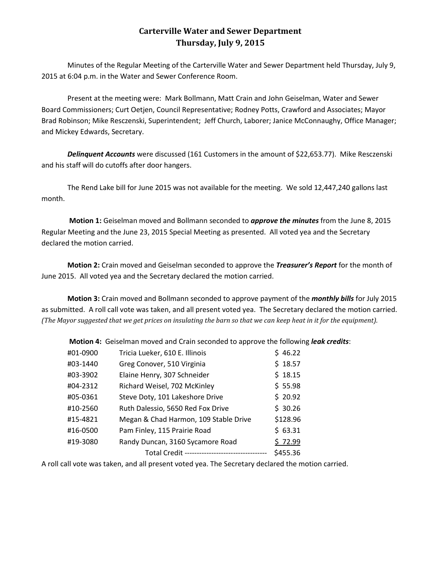## **Carterville Water and Sewer Department Thursday, July 9, 2015**

Minutes of the Regular Meeting of the Carterville Water and Sewer Department held Thursday, July 9, 2015 at 6:04 p.m. in the Water and Sewer Conference Room.

Present at the meeting were: Mark Bollmann, Matt Crain and John Geiselman, Water and Sewer Board Commissioners; Curt Oetjen, Council Representative; Rodney Potts, Crawford and Associates; Mayor Brad Robinson; Mike Resczenski, Superintendent; Jeff Church, Laborer; Janice McConnaughy, Office Manager; and Mickey Edwards, Secretary.

**Delinquent Accounts** were discussed (161 Customers in the amount of \$22,653.77). Mike Resczenski and his staff will do cutoffs after door hangers.

The Rend Lake bill for June 2015 was not available for the meeting. We sold 12,447,240 gallons last month.

**Motion 1:** Geiselman moved and Bollmann seconded to *approve the minutes* from the June 8, 2015 Regular Meeting and the June 23, 2015 Special Meeting as presented. All voted yea and the Secretary declared the motion carried.

**Motion 2:** Crain moved and Geiselman seconded to approve the *Treasurer's Report* for the month of June 2015. All voted yea and the Secretary declared the motion carried.

**Motion 3:** Crain moved and Bollmann seconded to approve payment of the *monthly bills* for July 2015 as submitted. A roll call vote was taken, and all present voted yea. The Secretary declared the motion carried. *(The Mayor suggested that we get prices on insulating the barn so that we can keep heat in it for the equipment).*

|          | <b>NOTION 4:</b> Geisenfiam moved and crain seconded to approve the ionowing <i>ie</i> |          |  |
|----------|----------------------------------------------------------------------------------------|----------|--|
| #01-0900 | Tricia Lueker, 610 E. Illinois                                                         | \$46.22  |  |
| #03-1440 | Greg Conover, 510 Virginia                                                             | \$18.57  |  |
| #03-3902 | Elaine Henry, 307 Schneider                                                            | \$18.15  |  |
| #04-2312 | Richard Weisel, 702 McKinley                                                           | \$55.98  |  |
| #05-0361 | Steve Doty, 101 Lakeshore Drive                                                        | \$20.92  |  |
| #10-2560 | Ruth Dalessio, 5650 Red Fox Drive                                                      | \$30.26  |  |
| #15-4821 | Megan & Chad Harmon, 109 Stable Drive                                                  | \$128.96 |  |
| #16-0500 | Pam Finley, 115 Prairie Road                                                           | \$63.31  |  |
| #19-3080 | Randy Duncan, 3160 Sycamore Road                                                       | \$72.99  |  |
|          | Total Credit ----------------------------------                                        | \$455.36 |  |

**Motion 4:** Geiselman moved and Crain seconded to approve the following *leak credits*:

A roll call vote was taken, and all present voted yea. The Secretary declared the motion carried.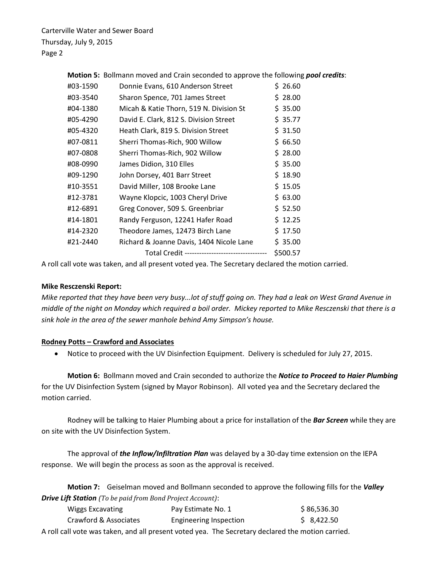Carterville Water and Sewer Board Thursday, July 9, 2015 Page 2

|          | Motion 5: Bollmann moved and Crain seconded to approve the following pool credits: |          |
|----------|------------------------------------------------------------------------------------|----------|
| #03-1590 | Donnie Evans, 610 Anderson Street                                                  | \$26.60  |
| #03-3540 | Sharon Spence, 701 James Street                                                    | \$28.00  |
| #04-1380 | Micah & Katie Thorn, 519 N. Division St                                            | \$35.00  |
| #05-4290 | David E. Clark, 812 S. Division Street                                             | \$35.77  |
| #05-4320 | Heath Clark, 819 S. Division Street                                                | \$31.50  |
| #07-0811 | Sherri Thomas-Rich, 900 Willow                                                     | \$66.50  |
| #07-0808 | Sherri Thomas-Rich, 902 Willow                                                     | \$28.00  |
| #08-0990 | James Didion, 310 Elles                                                            | \$35.00  |
| #09-1290 | John Dorsey, 401 Barr Street                                                       | \$18.90  |
| #10-3551 | David Miller, 108 Brooke Lane                                                      | \$15.05  |
| #12-3781 | Wayne Klopcic, 1003 Cheryl Drive                                                   | \$63.00  |
| #12-6891 | Greg Conover, 509 S. Greenbriar                                                    | \$52.50  |
| #14-1801 | Randy Ferguson, 12241 Hafer Road                                                   | \$12.25  |
| #14-2320 | Theodore James, 12473 Birch Lane                                                   | \$17.50  |
| #21-2440 | Richard & Joanne Davis, 1404 Nicole Lane                                           | \$35.00  |
|          | Total Credit ----------------------------------                                    | \$500.57 |
|          |                                                                                    |          |

A roll call vote was taken, and all present voted yea. The Secretary declared the motion carried.

## **Mike Resczenski Report:**

*Mike reported that they have been very busy...lot of stuff going on. They had a leak on West Grand Avenue in middle of the night on Monday which required a boil order. Mickey reported to Mike Resczenski that there is a sink hole in the area of the sewer manhole behind Amy Simpson's house.*

## **Rodney Potts – Crawford and Associates**

Notice to proceed with the UV Disinfection Equipment. Delivery is scheduled for July 27, 2015.

**Motion 6:** Bollmann moved and Crain seconded to authorize the *Notice to Proceed to Haier Plumbing* for the UV Disinfection System (signed by Mayor Robinson). All voted yea and the Secretary declared the motion carried.

Rodney will be talking to Haier Plumbing about a price for installation of the *Bar Screen* while they are on site with the UV Disinfection System.

The approval of *the Inflow/Infiltration Plan* was delayed by a 30-day time extension on the IEPA response. We will begin the process as soon as the approval is received.

**Motion 7:** Geiselman moved and Bollmann seconded to approve the following fills for the *Valley Drive Lift Station (To be paid from Bond Project Account)*:

| Wiggs Excavating      | Pay Estimate No. 1                                                                                | \$86,536.30 |
|-----------------------|---------------------------------------------------------------------------------------------------|-------------|
| Crawford & Associates | Engineering Inspection                                                                            | \$8,422.50  |
|                       | A roll call vote was taken, and all present voted yea. The Secretary declared the motion carried. |             |